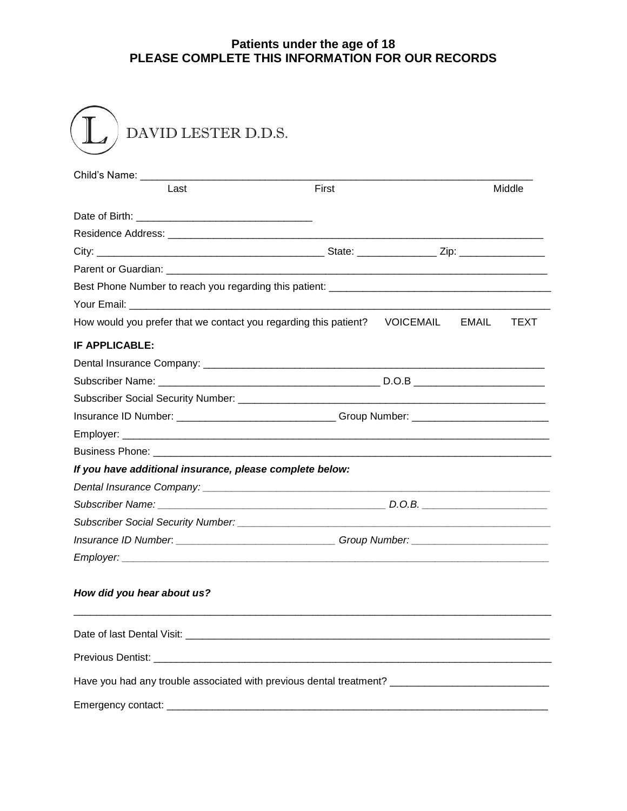## **Patients under the age of 18 PLEASE COMPLETE THIS INFORMATION FOR OUR RECORDS**

| Last                                                                                  | <b>First</b>                                                                      |  |  | <b>Middle</b> |
|---------------------------------------------------------------------------------------|-----------------------------------------------------------------------------------|--|--|---------------|
|                                                                                       |                                                                                   |  |  |               |
|                                                                                       |                                                                                   |  |  |               |
|                                                                                       |                                                                                   |  |  |               |
|                                                                                       |                                                                                   |  |  |               |
|                                                                                       |                                                                                   |  |  |               |
|                                                                                       |                                                                                   |  |  |               |
|                                                                                       |                                                                                   |  |  |               |
| How would you prefer that we contact you regarding this patient?    VOICEMAIL   EMAIL |                                                                                   |  |  | <b>TEXT</b>   |
| <b>IF APPLICABLE:</b>                                                                 |                                                                                   |  |  |               |
|                                                                                       |                                                                                   |  |  |               |
|                                                                                       |                                                                                   |  |  |               |
|                                                                                       |                                                                                   |  |  |               |
|                                                                                       | Insurance ID Number: _______________________________Group Number: _______________ |  |  |               |
|                                                                                       |                                                                                   |  |  |               |
|                                                                                       |                                                                                   |  |  |               |
| If you have additional insurance, please complete below:                              |                                                                                   |  |  |               |
|                                                                                       |                                                                                   |  |  |               |
|                                                                                       |                                                                                   |  |  |               |
|                                                                                       |                                                                                   |  |  |               |
| Insurance ID Number: _______________________________Group Number: _______________     |                                                                                   |  |  |               |
| Employer:                                                                             |                                                                                   |  |  |               |
|                                                                                       |                                                                                   |  |  |               |
| How did you hear about us?                                                            |                                                                                   |  |  |               |
|                                                                                       |                                                                                   |  |  |               |
|                                                                                       |                                                                                   |  |  |               |
|                                                                                       |                                                                                   |  |  |               |